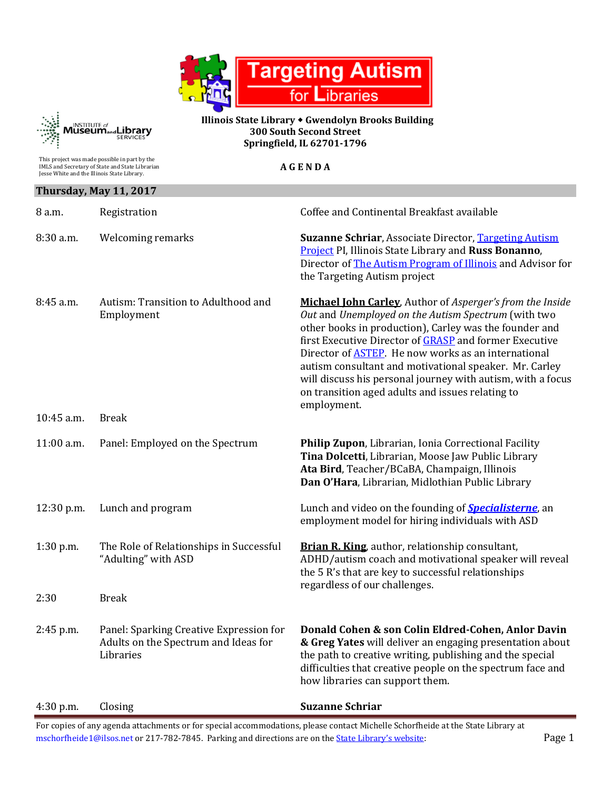



 **Illinois State Library Gwendolyn Brooks Building 300 South Second Street Springfield, IL 62701-1796**

| This project was made possible in part by the<br>IMLS and Secretary of State and State Librarian<br>Jesse White and the Illinois State Library. |                                                                                              | <b>AGENDA</b>                                                                                                                                                                                                                                                                                                                                                                                                                                                                                          |  |
|-------------------------------------------------------------------------------------------------------------------------------------------------|----------------------------------------------------------------------------------------------|--------------------------------------------------------------------------------------------------------------------------------------------------------------------------------------------------------------------------------------------------------------------------------------------------------------------------------------------------------------------------------------------------------------------------------------------------------------------------------------------------------|--|
| Thursday, May 11, 2017                                                                                                                          |                                                                                              |                                                                                                                                                                                                                                                                                                                                                                                                                                                                                                        |  |
| 8 a.m.                                                                                                                                          | Registration                                                                                 | Coffee and Continental Breakfast available                                                                                                                                                                                                                                                                                                                                                                                                                                                             |  |
| $8:30$ a.m.                                                                                                                                     | <b>Welcoming remarks</b>                                                                     | <b>Suzanne Schriar, Associate Director, Targeting Autism</b><br>Project PI, Illinois State Library and Russ Bonanno,<br>Director of The Autism Program of Illinois and Advisor for<br>the Targeting Autism project                                                                                                                                                                                                                                                                                     |  |
| $8:45$ a.m.                                                                                                                                     | Autism: Transition to Adulthood and<br>Employment                                            | Michael John Carley, Author of Asperger's from the Inside<br>Out and Unemployed on the Autism Spectrum (with two<br>other books in production), Carley was the founder and<br>first Executive Director of <b>GRASP</b> and former Executive<br>Director of <b>ASTEP</b> . He now works as an international<br>autism consultant and motivational speaker. Mr. Carley<br>will discuss his personal journey with autism, with a focus<br>on transition aged adults and issues relating to<br>employment. |  |
| 10:45 a.m.                                                                                                                                      | <b>Break</b>                                                                                 |                                                                                                                                                                                                                                                                                                                                                                                                                                                                                                        |  |
| 11:00 a.m.                                                                                                                                      | Panel: Employed on the Spectrum                                                              | Philip Zupon, Librarian, Ionia Correctional Facility<br>Tina Dolcetti, Librarian, Moose Jaw Public Library<br>Ata Bird, Teacher/BCaBA, Champaign, Illinois<br>Dan O'Hara, Librarian, Midlothian Public Library                                                                                                                                                                                                                                                                                         |  |
| 12:30 p.m.                                                                                                                                      | Lunch and program                                                                            | Lunch and video on the founding of <b>Specialisterne</b> , an<br>employment model for hiring individuals with ASD                                                                                                                                                                                                                                                                                                                                                                                      |  |
| $1:30$ p.m.                                                                                                                                     | The Role of Relationships in Successful<br>"Adulting" with ASD                               | Brian R. King, author, relationship consultant,<br>ADHD/autism coach and motivational speaker will reveal<br>the 5 R's that are key to successful relationships<br>regardless of our challenges.                                                                                                                                                                                                                                                                                                       |  |
| 2:30                                                                                                                                            | <b>Break</b>                                                                                 |                                                                                                                                                                                                                                                                                                                                                                                                                                                                                                        |  |
| $2:45$ p.m.                                                                                                                                     | Panel: Sparking Creative Expression for<br>Adults on the Spectrum and Ideas for<br>Libraries | Donald Cohen & son Colin Eldred-Cohen, Anlor Davin<br>& Greg Yates will deliver an engaging presentation about<br>the path to creative writing, publishing and the special<br>difficulties that creative people on the spectrum face and<br>how libraries can support them.                                                                                                                                                                                                                            |  |
| $4:30$ p.m.                                                                                                                                     | Closing                                                                                      | <b>Suzanne Schriar</b>                                                                                                                                                                                                                                                                                                                                                                                                                                                                                 |  |

For copies of any agenda attachments or for special accommodations, please contact Michelle Schorfheide at the State Library at [mschorfheide1@ilsos.net](mailto:mschorfheide1@ilsos.net) or 217-782-7845. Parking and directions are on the **State Library's website:** Page 1